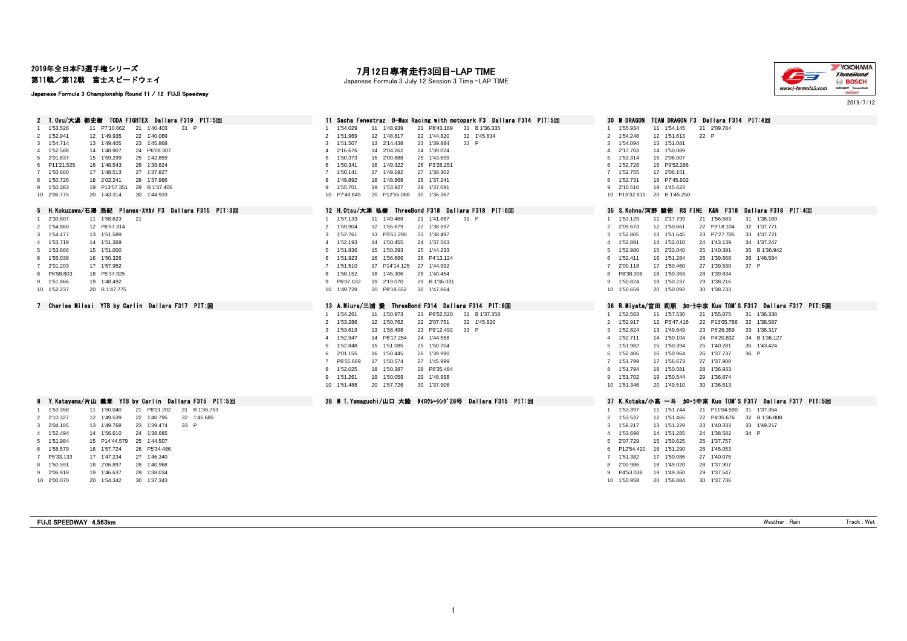# 2019年全日本F3選手権シリーズ

第11戦/第12戦 富士スピードウェイ

#### Japanese Formula 3 Championship Round 11 / 12 FUJI Speedway

# 7**月12日専有走行3回目―LAP TIME**<br>Japanese Formula 3 July 12 Session 3 Time ―LAP TIME



2019/7/12

| 2 T.Oyu/大湯 都史樹 TODA FIGHTEX Dallara F319 PIT:5回            | 11 Sacha Fenestraz B-Max Racing with motopark F3 Dallara F314 PIT:5回     | TEAM DRAGON F3 Dallara F314 PIT:4回<br><b>30 M DRAGON</b>                     |
|------------------------------------------------------------|--------------------------------------------------------------------------|------------------------------------------------------------------------------|
| 1'53.526<br>11 P7'10.662<br>21 1'40.403<br>31 P            | 1'54.029<br>11 1'48.939<br>21 P8'43.189<br>31 B 1'36.335<br>$\mathbf{1}$ | 11 1'54.145<br>21 2'09.784<br>1 1'55.934                                     |
| 1'52.941<br>22 1'40.089<br>12 1'49.935<br>2                | 1'51.969<br>12 1'48.817<br>22 1'44.820<br>32 1'45.634<br>$\overline{2}$  | $\overline{2}$<br>12 1'51.613<br>22 P<br>1'54.248                            |
| 1'54.714<br>23 1'45.868<br>13 1'49.405<br>$\mathbf{3}$     | 33 P<br>1'51.507<br>13 2'14.438<br>23 1'39.884<br>3                      | 1'54.094<br>13 1'51.081<br>3                                                 |
| 1'52.588<br>14 1'48.907<br>24 P6'08.307<br>$\overline{4}$  | 14 2'04.262<br>24 1'39.024<br>2'16.676<br>4                              | 2'17.703<br>14 1'50.089<br>$\overline{a}$                                    |
| 2'01.837<br>15 1'59.299<br>25 1'42.859<br>-5               | 1'50.373<br>15 2'00.888<br>25 1'43.699<br>5                              | 1'53.314<br>15 2'06.007<br>5.                                                |
| 26 1'38.624<br>P11'21.525<br>16 1'48.543<br>6              | 16 1'49.322<br>26 P3'28.251<br>6<br>1'50.341                             | 1'52.728<br>16 P9'52.266<br>6.                                               |
| 27 1'37.827<br>1'50.660<br>17 1'48.513<br>$\overline{7}$   | 27 1'38.302<br>1'50.141<br>17 1'49.192<br>7                              | 17 2'06.151<br>1'52.755<br>7                                                 |
| 1'50.726<br>18 2'02.241<br>28 1'37.986<br>8                | 1'49.892<br>18 1'48.868<br>28 1'37.241<br>8                              | 1'52.731<br>18 P7'45.602<br>8                                                |
| 9 1'50.383<br>19 P13'57.351<br>29 B 1'37.406               | 1'55.701<br>19 1'53.927<br>29 1'37.091<br>9                              | 2'10.510<br>19 1'45.623<br>9                                                 |
| 10 2'06.775<br>20 1'43.314<br>30 1'44.933                  | 10 P7'48.845<br>20 P12'55.088 30 1'36.367                                | 10 P15'32.811 20 B 1'45.250                                                  |
| 5 H.Kokuzawa/石澤 浩紀 Planex・スマカメF3 Dallara F315 PIT:3回       | 12 H.Otsu/大津 弘樹 ThreeBond F318 Dallara F318 PIT:6回                       | 35 S.Kohno/河野 駿佑 RS FINE K&N F318 Dallara F318 PIT:4回                        |
| 11 1'58.623<br>21<br>2'30.807<br>$\overline{1}$            | 31 P<br>1'57.133<br>11 1'49.468<br>21 1'41.887<br>1                      | 21 1'56.583<br>1 1'53.129<br>11 2'17.799<br>31 1'38.169                      |
| 12 P6'57.314<br>1'54.860<br>2                              | 22 1'38.597<br>$\overline{2}$<br>1'59.904<br>12 1'55.679                 | 32 1'37.771<br>2 2'09.673<br>12 1'50.661<br>22 P9'18.104                     |
| 1'54.477<br>13 1'51.589<br>3                               | 1'52.761<br>13 P5'51.290<br>23 1'38.497<br>3                             | 1'52.805<br>13 1'51.645<br>23 P7'27.705<br>33 1'37.721<br>3                  |
| 4 1'53.719<br>14 1'51.369                                  | 1'52.193<br>14 1'50.455<br>24 1'37.563<br>$\overline{a}$                 | 34 1'37.247<br>1'52.891<br>14 1'52.010<br>24 1'43.139<br>$\overline{4}$      |
| 1'53.666<br>15 1'51.000<br>-5                              | 15 1'50.293<br>25 1'44.233<br>5<br>1'51.836                              | 1'52.980<br>15 2'23.040<br>25 1'40.391<br>35 B 1'36.942<br>5                 |
| 1'55.038<br>16 1'50.326<br>6                               | 26 P4'13.124<br>1'51.923<br>16 1'56.666<br>6                             | 36 1'46.584<br>6<br>1'52.411<br>16 1'51.284<br>26 1'39.668                   |
| 2'01.203<br>17 1'57.952<br>7                               | 27 1'44.992<br>$\overline{7}$<br>1'51.510<br>17 P14'14.125               | 2'00.118<br>17 1'50.460<br>27 1'39.530<br>37 P<br>$\overline{7}$             |
| P6'58.803<br>18 P5'37.925                                  | 1'58.152<br>18 1'45.306<br>28 1'40.454<br>8                              | P8'38.006<br>18 1'50.363<br>28 1'39.834<br>8                                 |
| 9 1'51.866<br>19 1'48.492                                  | P6'07.032<br>19 2'19.070<br>29 B 1'36.031<br>9                           | 1'50.824<br>19 1'50.237<br>29 1'38.216<br>9                                  |
|                                                            |                                                                          |                                                                              |
| 10 1'52.237<br>20 B 1'47.775                               | 10 1'49.728<br>20 P8'18.552<br>30 1'47.864                               | 10 1'50.659<br>20 1'50.092<br>30 1'38.733                                    |
| 7 Charles Milesi YTB by Carlin Dallara F317 PIT:回          | 13 A.Miura/三浦 愛 ThreeBond F314 Dallara F314 PIT:6回                       | 36 R.Miyata/宮田 莉朋 加—ラ中亰 Kuo TOM'S F317 Dallara F317 PIT:5回                   |
|                                                            | 31 B 1'37.358<br>$\mathbf{1}$<br>1'54.261<br>11 1'50.973<br>21 P6'52.520 | 31 1'36.338<br>1 1'52.563<br>11 1'57.530<br>21 1'55.875                      |
|                                                            |                                                                          |                                                                              |
|                                                            | $\overline{2}$                                                           | 2 1'52.917                                                                   |
|                                                            | 32 1'45.820<br>1'53.286<br>12 1'50.762<br>22 2'07.751<br>33 P<br>3       | 22 P13'05.766<br>32 1'38.587<br>12 P5'47.416<br>13 1'49.649<br>3<br>1'52.824 |
|                                                            | 1'53.619<br>13 1'58.498<br>23 P9'12.492<br>4                             | 23 P6'26.359<br>33 1'36.317                                                  |
|                                                            | 14 P6'17.254<br>24 1'44.558<br>1'52.947<br>5                             | 24 P4'20.832<br>34 B 1'36.127<br>4 1'52.711<br>14 1'50.104                   |
|                                                            | 1'52.848<br>25 1'50.704<br>15 1'51.085                                   | 25 1'40.281<br>35 1'43.424<br>5<br>1'51.982<br>15 1'50.394                   |
|                                                            | 16 1'50.445<br>26 1'39.990<br>6<br>2'01.155                              | 1'52.406<br>16 1'50.964<br>26 1'37.737<br>36 P<br>6                          |
|                                                            | P6'55.669<br>27 1'45.999<br>17 1'50.574                                  | 27 1'37.908<br>1'51.799<br>17 1'56,673<br>7                                  |
|                                                            | 1'52.025<br>28 P6'35.484<br>8<br>18 1'50.387                             | 28 1'36.933<br>1'51.794<br>18 1'50.581<br>8                                  |
|                                                            | 1'51.261<br>19 1'50.059<br>29 1'48.998<br>9                              | 1'51.702<br>19 1'50.544<br>29 1'36.874<br>9                                  |
|                                                            | 20 1'57.726<br>10 1'51.488<br>30 1'37.906                                | 10 1'51.346<br>30 1'36.613<br>20 1'49.510                                    |
| 8 Y.Katayama/片山 義章 YTB by Carlin Dallara F315 PIT:5回       | 28 M T.Yamaguchi/山口 大陸 タイロクレーシング28号 Dallara F315 PIT:回                   | 37 K.Kotaka/小高 一斗 加-ラ中京 Kuo TOM'S F317 Dallara F317 PIT:5回                   |
| 1 1'53.358<br>21 P8'01.202<br>31 B 1'36.753<br>11 1'50.040 |                                                                          | 1 1'53.397<br>11 1'51.744<br>21 P11'04.590<br>31 1'37.354                    |
| 2'10.327<br>12 1'49.539<br>22 1'40.795<br>32 1'45.685<br>2 |                                                                          | 2 1'53.537<br>12 1'51.465<br>22 P4'35.676<br>32 B 1'36.808                   |
| 23 1'39.474<br>33 P<br>2'04.185<br>13 1'49.768<br>3        |                                                                          | 1'58.217<br>13 1'51.229<br>23 1'40.333<br>33 1'49.217<br>3                   |
| 24 1'38.685<br>1'52.494<br>14 1'56.610<br>$\overline{4}$   |                                                                          | 34 P<br>1'53.698<br>14 1'51.285<br>24 1'38.582<br>$\overline{4}$             |
| 25 1'44.507<br>1'51.984<br>15 P14'44.579<br>5              |                                                                          | 2'07.729<br>15 1'50.625<br>25 1'37.757<br>5                                  |
| 1'58.579<br>16 1'57,724<br>26 P5'34.486<br>6               |                                                                          | P12'54.420<br>16 1'51.290<br>26 1'45.053<br>6                                |
| 27 1'46.340<br>P5'33.133<br>17 1'47.234                    |                                                                          | 1'51.382<br>17 1'50.086<br>27 1'40.075<br>$7^{\circ}$                        |
| 1'50.591<br>18 2'06.897<br>28 1'40.968<br>8                |                                                                          | 18 1'49.020<br>28 1'37.907<br>2'00.986<br>8                                  |
| 2'06.919<br>29 1'38.034<br>19 1'46.637<br>9                |                                                                          | P4'53.038<br>19 1'49.360<br>29 1'37.547<br>9                                 |
| 10 2'00.070<br>20 1'54.342<br>30 1'37.343                  |                                                                          | 20 1'56,884<br>30 1'37.736<br>10 1'50.958                                    |
|                                                            |                                                                          |                                                                              |

FUJI SPEEDWAY 4.563km Weather : Rain Track : Wet